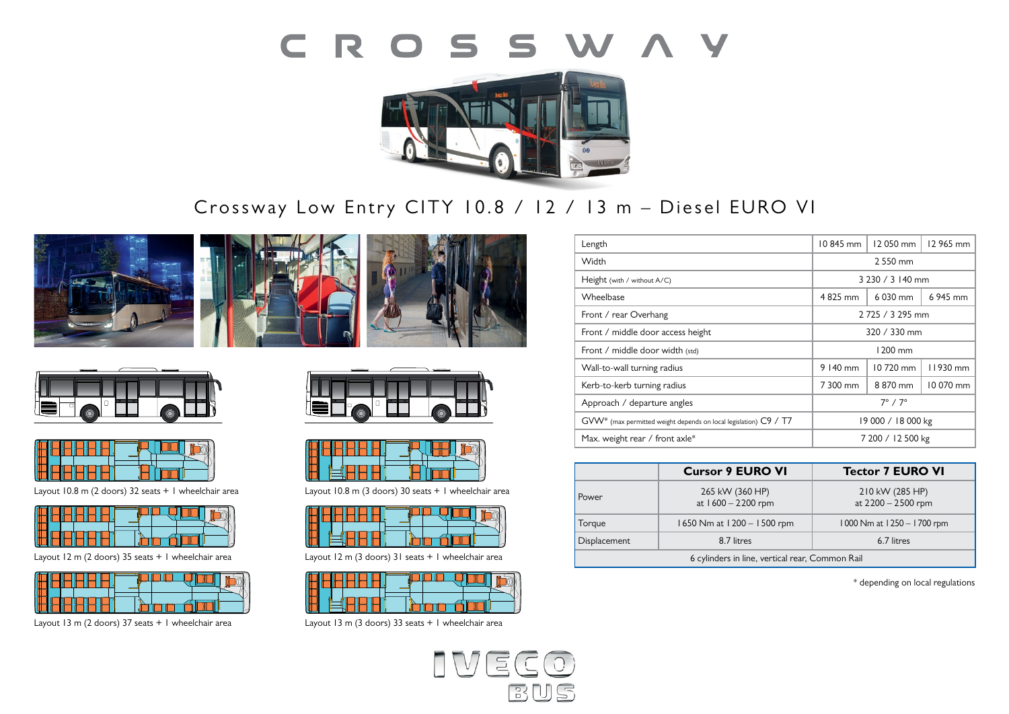



# Crossway Low Entry CITY 10.8 / 12 / 13 m - Diesel EURO VI







Layout 10.8 m (2 doors) 32 seats + 1 wheelchair area **Layout 10.8 m (3 doors) 30 seats + 1** wheelcha

Layout 12 m (2 doors) 35 seats + 1 wheelchair area

Layout 13 m (2 doors) 37 seats + 1 wheelchair area



Layout 10.8 m (3 doors) 30 seats + 1 wheelchair area



**Layout: 3** 37 places **Layout: 1** 33 places Layout 12 m (3 doors) 31 seats + 1 wheelchair area



Layout 13 m (3 doors) 33 seats + 1 wheelchair area



| Length                                                           | 10845 mm              | 12050 mm | 12 965 mm |
|------------------------------------------------------------------|-----------------------|----------|-----------|
| Width                                                            | 2 550 mm              |          |           |
| Height (with / without A/C)                                      | 3 230 / 3 140 mm      |          |           |
| Wheelbase                                                        | 4825 mm<br>6 030 mm   |          | 6 945 mm  |
| Front / rear Overhang                                            | 2 725 / 3 295 mm      |          |           |
| Front / middle door access height                                | 320 / 330 mm          |          |           |
| Front / middle door width (std)                                  | 1200 mm               |          |           |
| Wall-to-wall turning radius                                      | 9 140 mm              | 10720 mm | 11930 mm  |
| Kerb-to-kerb turning radius                                      | 7 300 mm              | 8870 mm  | 10 070 mm |
| Approach / departure angles                                      | $7^\circ$ / $7^\circ$ |          |           |
| GVW* (max permitted weight depends on local legislation) C9 / T7 | 19 000 / 18 000 kg    |          |           |
| Max. weight rear / front axle*                                   | 7 200 / 12 500 kg     |          |           |

|                                                 | <b>Cursor 9 EURO VI</b>               | <b>Tector 7 EURO VI</b>               |  |  |
|-------------------------------------------------|---------------------------------------|---------------------------------------|--|--|
| Power                                           | 265 kW (360 HP)<br>at 1600 - 2200 rpm | 210 kW (285 HP)<br>at 2200 - 2500 rpm |  |  |
| Torque                                          | 1650 Nm at 1200 - 1500 rpm            | 1000 Nm at 1250 - 1700 rpm            |  |  |
| <b>Displacement</b>                             | 8.7 litres                            | 6.7 litres                            |  |  |
| 6 cylinders in line, vertical rear, Common Rail |                                       |                                       |  |  |

\* depending on local regulations